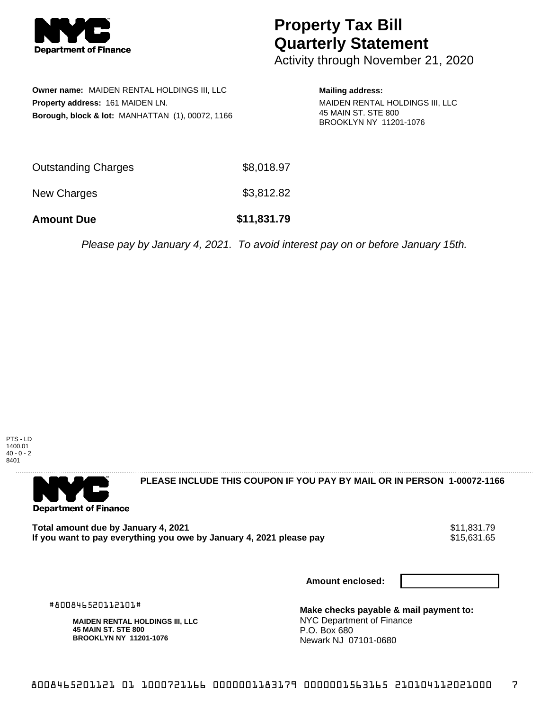

## **Property Tax Bill Quarterly Statement**

Activity through November 21, 2020

|                                  | Owner name: MAIDEN RENTAL HOLDINGS III, LLC      |  |  |  |
|----------------------------------|--------------------------------------------------|--|--|--|
| Property address: 161 MAIDEN LN. |                                                  |  |  |  |
|                                  | Borough, block & lot: MANHATTAN (1), 00072, 1166 |  |  |  |

**Mailing address:**

MAIDEN RENTAL HOLDINGS III, LLC 45 MAIN ST. STE 800 BROOKLYN NY 11201-1076

| <b>Amount Due</b>   | \$11,831.79 |
|---------------------|-------------|
| New Charges         | \$3,812.82  |
| Outstanding Charges | \$8,018.97  |

Please pay by January 4, 2021. To avoid interest pay on or before January 15th.





**PLEASE INCLUDE THIS COUPON IF YOU PAY BY MAIL OR IN PERSON 1-00072-1166** 

Total amount due by January 4, 2021<br>If you want to pay everything you owe by January 4, 2021 please pay **1986 1203 1204 1205 1206 1207** \$15,631.65 If you want to pay everything you owe by January 4, 2021 please pay

**Amount enclosed:**

#800846520112101#

**MAIDEN RENTAL HOLDINGS III, LLC 45 MAIN ST. STE 800 BROOKLYN NY 11201-1076**

**Make checks payable & mail payment to:** NYC Department of Finance P.O. Box 680 Newark NJ 07101-0680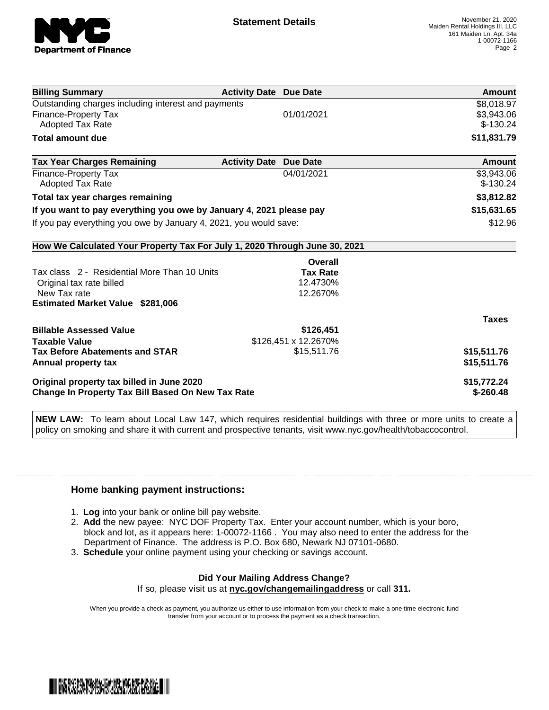

| <b>Billing Summary</b>                                                     | <b>Activity Date Due Date</b>           | Amount       |
|----------------------------------------------------------------------------|-----------------------------------------|--------------|
| Outstanding charges including interest and payments                        |                                         | \$8,018.97   |
| Finance-Property Tax                                                       | 01/01/2021                              | \$3,943.06   |
| Adopted Tax Rate                                                           |                                         | $$-130.24$   |
| <b>Total amount due</b>                                                    |                                         | \$11,831.79  |
| <b>Tax Year Charges Remaining</b>                                          | <b>Activity Date</b><br><b>Due Date</b> | Amount       |
| <b>Finance-Property Tax</b>                                                | 04/01/2021                              | \$3,943.06   |
| Adopted Tax Rate                                                           |                                         | $$-130.24$   |
| Total tax year charges remaining                                           | \$3,812.82                              |              |
| If you want to pay everything you owe by January 4, 2021 please pay        | \$15,631.65                             |              |
| If you pay everything you owe by January 4, 2021, you would save:          | \$12.96                                 |              |
| How We Calculated Your Property Tax For July 1, 2020 Through June 30, 2021 |                                         |              |
|                                                                            | Overall                                 |              |
| Tax class 2 - Residential More Than 10 Units                               | <b>Tax Rate</b>                         |              |
| Original tax rate billed                                                   | 12.4730%                                |              |
| New Tax rate                                                               | 12.2670%                                |              |
| <b>Estimated Market Value \$281,006</b>                                    |                                         |              |
|                                                                            |                                         | <b>Taxes</b> |
| <b>Billable Assessed Value</b>                                             | \$126,451                               |              |
| <b>Taxable Value</b>                                                       | \$126,451 x 12.2670%                    |              |
| <b>Tax Before Abatements and STAR</b>                                      | \$15,511.76                             | \$15,511.76  |
| Annual property tax                                                        |                                         | \$15,511.76  |
| Original property tax billed in June 2020                                  | \$15,772.24                             |              |
| <b>Change In Property Tax Bill Based On New Tax Rate</b>                   | $$-260.48$                              |              |

**NEW LAW:** To learn about Local Law 147, which requires residential buildings with three or more units to create a policy on smoking and share it with current and prospective tenants, visit www.nyc.gov/health/tobaccocontrol.

## **Home banking payment instructions:**

- 1. **Log** into your bank or online bill pay website.
- 2. **Add** the new payee: NYC DOF Property Tax. Enter your account number, which is your boro, block and lot, as it appears here: 1-00072-1166 . You may also need to enter the address for the Department of Finance. The address is P.O. Box 680, Newark NJ 07101-0680.
- 3. **Schedule** your online payment using your checking or savings account.

## **Did Your Mailing Address Change?** If so, please visit us at **nyc.gov/changemailingaddress** or call **311.**

When you provide a check as payment, you authorize us either to use information from your check to make a one-time electronic fund transfer from your account or to process the payment as a check transaction.